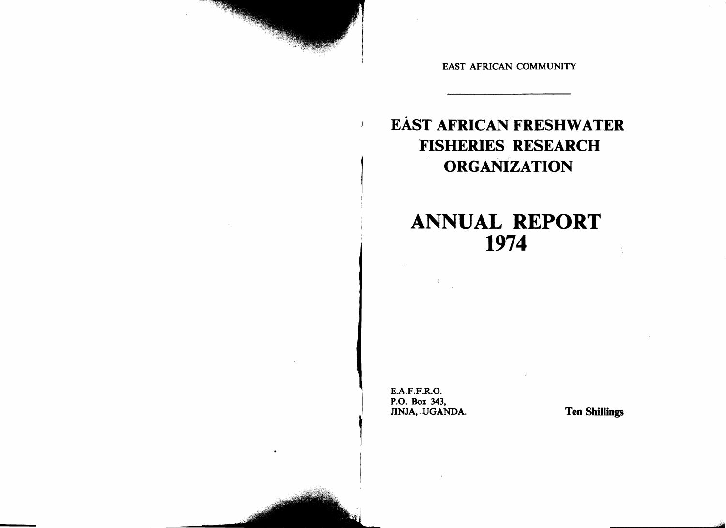EAST AFRICAN COMMUNITY

## EAsT AFRICAN FRESHWATER FISHERIES RESEARCH ORGANIZATION

# ANNUAL REPORT 1974

E.A.F.F.R.O. P.o. Box 343, JINJA, UGANDA. Ten Shillings

 $\mathbf{I}$ 

'.".11:.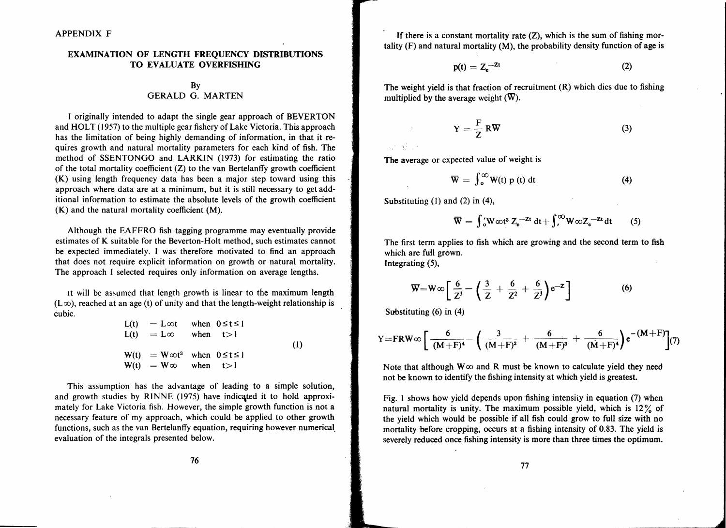### EXAMINATION OF LENGTH FREQUENCY DISTRIBUTIONS TO EVALUATE OVERFISHING

## By GERALD G. MARTEN

I originally intended to adapt the single gear approach of BEVERTON and HOLT (1957) to the multiple gear fishery of Lake Victoria. This approach has the limitation of being highly demanding of information, in that it requires growth and natural mortality parameters for each kind of fish. The method of SSENTONGO and LARKIN (1973) for estimating the ratio of the total mortality coefficient  $(Z)$  to the van Bertelanffy growth coefficient  $(K)$  using length frequency data has been a major step toward using this approach where data are at a minimum, but it is still necessary to get additional information to estimate the absolute levels of the growth coefficient (K) and the natural mortality coefficient (M).

Although the EAFFRO fish tagging programme may eventually provide estimates of K suitable for the Beverton-Holt method, such estimates cannot be expected immediately. I was therefore motivated to find an approach that does not require explicit information on growth or natural mortality. The approach I selected requires only information on average lengths.

It will be assumed that length growth is linear to the maximum length  $(L\infty)$ , reached at an age (t) of unity and that the length-weight relationship is cubic.

| $L(t) = L\infty t$ when $0 \le t \le 1$    |  |     |
|--------------------------------------------|--|-----|
| $L(t) = L\infty$ when $t > 1$              |  |     |
|                                            |  | (1) |
| $W(t) = W \infty t^3$ when $0 \le t \le 1$ |  |     |
| $W(t) = W\infty$ when $t > 1$              |  |     |

This assumption has the advantage of leading to a simple solution, and growth studies by RINNE (1975) have indicated it to hold approximately for Lake Victoria fish. However, the simple growth function is not a necessary feature of my approach, which could be applied to other growth functions, such as the van Bertelanffy equation, requiring however numerical. evaluation of the integrals presented below.

If there is a constant mortality rate  $(Z)$ , which is the sum of fishing mortality  $(F)$  and natural mortality  $(M)$ , the probability density function of age is

$$
p(t) = Z_e^{-2t} \tag{2}
$$

The weight yield is that fraction of recruitment  $(R)$  which dies due to fishing multiplied by the average weight  $(\overline{W})$ .

$$
Y = \frac{F}{Z} R \overline{W}
$$
 (3)

ar show

The average or expected value of weight is

$$
\overline{W} = \int_{0}^{\infty} W(t) p(t) dt
$$
 (4)

Substituting (1) and (2) in (4),

$$
\overline{W} = \int_0^t W \omega t^3 Z_e^{-2t} dt + \int_t^\infty W \omega Z_e^{-2t} dt \qquad (5)
$$

The first term applies to fish which are growing and the second'term to fish which are full grown. Integrating (5),

$$
\overline{W} = W \infty \left[ \frac{6}{Z^3} - \left( \frac{3}{Z} + \frac{6}{Z^2} + \frac{6}{Z^3} \right) e^{-Z} \right]
$$
 (6)

Substituting (6) in (4)

$$
Y = FRW \otimes \left[ \frac{6}{(M+F)^4} - \left( \frac{3}{(M+F)^2} + \frac{6}{(M+F)^3} + \frac{6}{(M+F)^4} \right) e^{-(M+F)} \right] (7)
$$

Note that although  $W\infty$  and R must be known to calculate yield they need not be known to identify the fishing intensity at which yield is greatest.

Fig. 1 shows how yield depends upon fishing intensity in equation (7) when natural mortality is unity. The maximum possible yield, which is  $12\%$  of the yield which would be possible if all fish could grow to full size with no mortality before cropping, occurs at a fishing intensity of 0.83. The yield is severely reduced once fishing intensity is more than three times the optimum.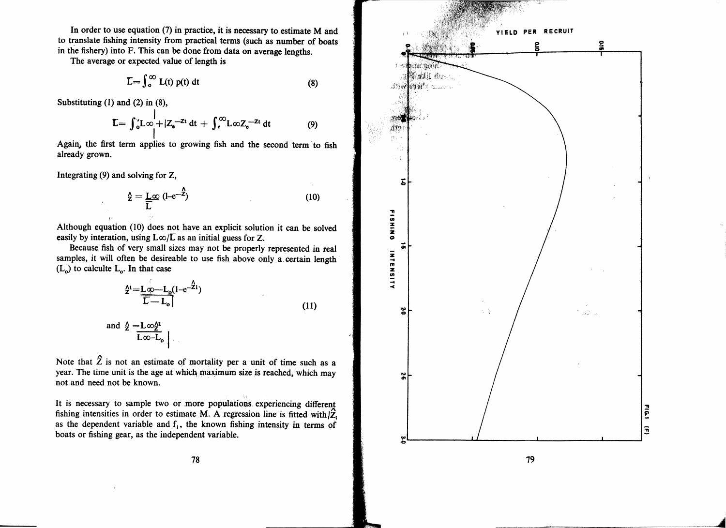In order to use equation (7) in practice, it is necessary to estimate M and to translate fishing intensity from practical terms (such as number of boats in the fishery) into F. This can be done from data on average lengths.

The average or expected value of length is

$$
\overline{L} = \int_0^\infty L(t) p(t) dt
$$
 (8)

Substituting  $(1)$  and  $(2)$  in  $(8)$ ,

$$
\mathbf{L} = \int_{0}^{1} L\omega + |Z_{e}^{-Zt} dt + \int_{0}^{\infty} L\omega Z_{e}^{-Zt} dt
$$
 (9)

Again, the first term applies to growing fish and the second term to fish already grown.

Integrating  $(9)$  and solving for Z,

$$
\hat{\Sigma} = \frac{L}{\overline{L}} \otimes (1 - e^{-\hat{Z}})
$$
 (10)

Although equation (10) does not have an explicit solution it can be solved easily by interation, using  $L\infty/\sqrt{L}$  as an initial guess for Z.

Because fish of very small sizes may not be properly represented in real samples, it will often be desireable to use fish above only a certain length  $(L_0)$  to calculte  $L_0$ . In that case

$$
\frac{\lambda^{1} = L\phi - L_{o}(1 - e^{-\lambda_{1}})}{\overline{L} - L_{o}}
$$
\n(11)

and 
$$
\frac{\Delta}{L} = L \infty \frac{\Delta}{L}
$$

Note that  $\hat{Z}$  is not an estimate of mortality per a unit of time such as a year. The time unit is the age at which maximum size is reached, which may not and need not be known.

It is necessary to sample two or more populations experiencing different fishing intensities in order to estimate M. A regression line is fitted with  $\hat{Z}$ . as the dependent variable and  $f_i$ , the known fishing intensity in terms of boats or fishing gear, as the independent variable.